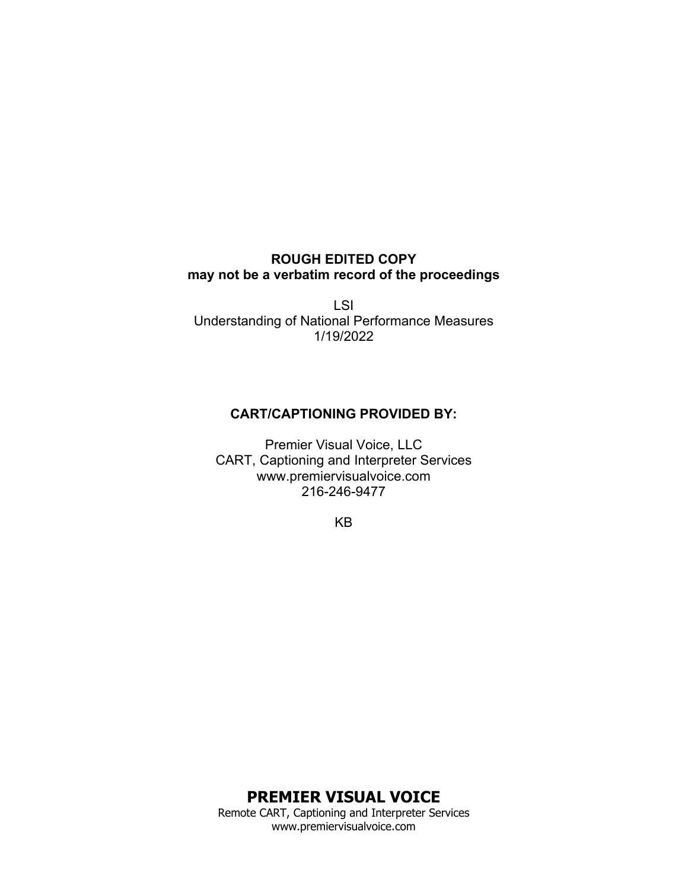## **ROUGH EDITED COPY may not be a verbatim record of the proceedings**

LSI Understanding of National Performance Measures 1/19/2022

# **CART/CAPTIONING PROVIDED BY:**

Premier Visual Voice, LLC CART, Captioning and Interpreter Services www.premiervisualvoice.com 216-246-9477

KB

**PREMIER VISUAL VOICE** Remote CART, Captioning and Interpreter Services

www.premiervisualvoice.com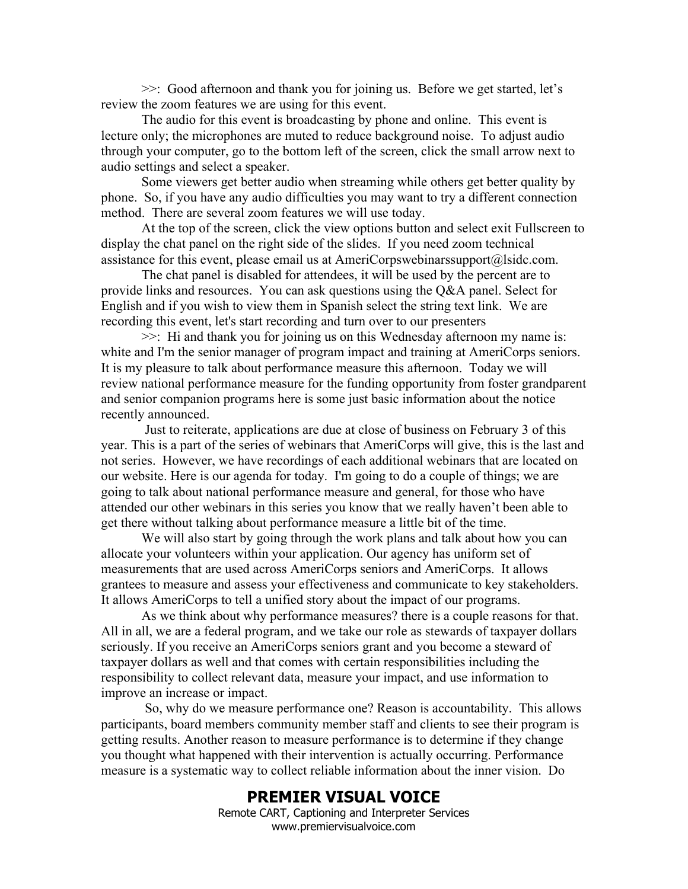>>: Good afternoon and thank you for joining us. Before we get started, let's review the zoom features we are using for this event.

The audio for this event is broadcasting by phone and online. This event is lecture only; the microphones are muted to reduce background noise. To adjust audio through your computer, go to the bottom left of the screen, click the small arrow next to audio settings and select a speaker.

Some viewers get better audio when streaming while others get better quality by phone. So, if you have any audio difficulties you may want to try a different connection method. There are several zoom features we will use today.

At the top of the screen, click the view options button and select exit Fullscreen to display the chat panel on the right side of the slides. If you need zoom technical assistance for this event, please email us at AmeriCorpswebinarssupport@lsidc.com.

The chat panel is disabled for attendees, it will be used by the percent are to provide links and resources. You can ask questions using the Q&A panel. Select for English and if you wish to view them in Spanish select the string text link. We are recording this event, let's start recording and turn over to our presenters

>>: Hi and thank you for joining us on this Wednesday afternoon my name is: white and I'm the senior manager of program impact and training at AmeriCorps seniors. It is my pleasure to talk about performance measure this afternoon. Today we will review national performance measure for the funding opportunity from foster grandparent and senior companion programs here is some just basic information about the notice recently announced.

Just to reiterate, applications are due at close of business on February 3 of this year. This is a part of the series of webinars that AmeriCorps will give, this is the last and not series. However, we have recordings of each additional webinars that are located on our website. Here is our agenda for today. I'm going to do a couple of things; we are going to talk about national performance measure and general, for those who have attended our other webinars in this series you know that we really haven't been able to get there without talking about performance measure a little bit of the time.

We will also start by going through the work plans and talk about how you can allocate your volunteers within your application. Our agency has uniform set of measurements that are used across AmeriCorps seniors and AmeriCorps. It allows grantees to measure and assess your effectiveness and communicate to key stakeholders. It allows AmeriCorps to tell a unified story about the impact of our programs.

As we think about why performance measures? there is a couple reasons for that. All in all, we are a federal program, and we take our role as stewards of taxpayer dollars seriously. If you receive an AmeriCorps seniors grant and you become a steward of taxpayer dollars as well and that comes with certain responsibilities including the responsibility to collect relevant data, measure your impact, and use information to improve an increase or impact.

So, why do we measure performance one? Reason is accountability. This allows participants, board members community member staff and clients to see their program is getting results. Another reason to measure performance is to determine if they change you thought what happened with their intervention is actually occurring. Performance measure is a systematic way to collect reliable information about the inner vision. Do

### **PREMIER VISUAL VOICE**

Remote CART, Captioning and Interpreter Services www.premiervisualvoice.com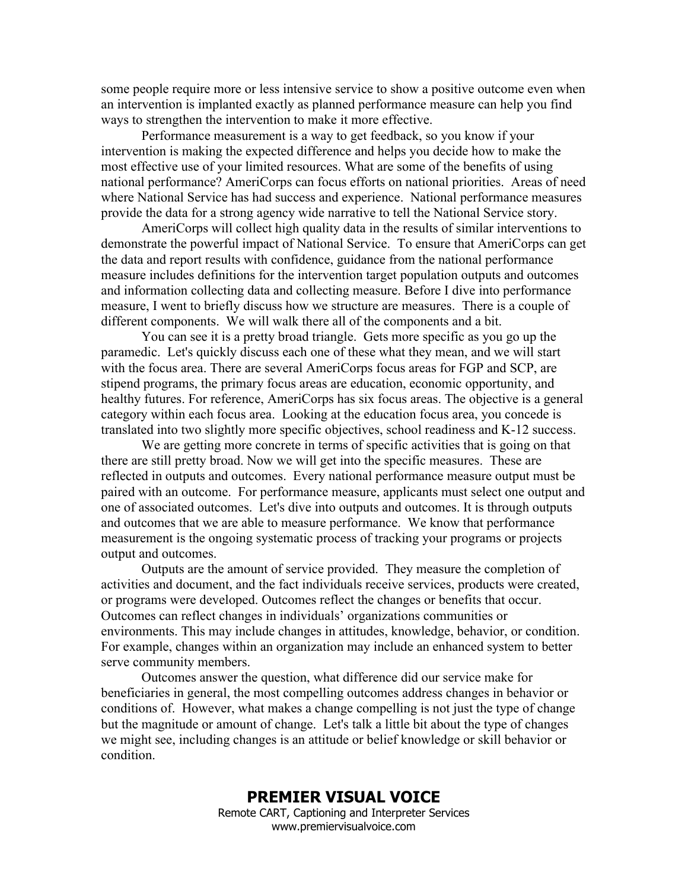some people require more or less intensive service to show a positive outcome even when an intervention is implanted exactly as planned performance measure can help you find ways to strengthen the intervention to make it more effective.

Performance measurement is a way to get feedback, so you know if your intervention is making the expected difference and helps you decide how to make the most effective use of your limited resources. What are some of the benefits of using national performance? AmeriCorps can focus efforts on national priorities. Areas of need where National Service has had success and experience. National performance measures provide the data for a strong agency wide narrative to tell the National Service story.

AmeriCorps will collect high quality data in the results of similar interventions to demonstrate the powerful impact of National Service. To ensure that AmeriCorps can get the data and report results with confidence, guidance from the national performance measure includes definitions for the intervention target population outputs and outcomes and information collecting data and collecting measure. Before I dive into performance measure, I went to briefly discuss how we structure are measures. There is a couple of different components. We will walk there all of the components and a bit.

You can see it is a pretty broad triangle. Gets more specific as you go up the paramedic. Let's quickly discuss each one of these what they mean, and we will start with the focus area. There are several AmeriCorps focus areas for FGP and SCP, are stipend programs, the primary focus areas are education, economic opportunity, and healthy futures. For reference, AmeriCorps has six focus areas. The objective is a general category within each focus area. Looking at the education focus area, you concede is translated into two slightly more specific objectives, school readiness and K-12 success.

We are getting more concrete in terms of specific activities that is going on that there are still pretty broad. Now we will get into the specific measures. These are reflected in outputs and outcomes. Every national performance measure output must be paired with an outcome. For performance measure, applicants must select one output and one of associated outcomes. Let's dive into outputs and outcomes. It is through outputs and outcomes that we are able to measure performance. We know that performance measurement is the ongoing systematic process of tracking your programs or projects output and outcomes.

Outputs are the amount of service provided. They measure the completion of activities and document, and the fact individuals receive services, products were created, or programs were developed. Outcomes reflect the changes or benefits that occur. Outcomes can reflect changes in individuals' organizations communities or environments. This may include changes in attitudes, knowledge, behavior, or condition. For example, changes within an organization may include an enhanced system to better serve community members.

Outcomes answer the question, what difference did our service make for beneficiaries in general, the most compelling outcomes address changes in behavior or conditions of. However, what makes a change compelling is not just the type of change but the magnitude or amount of change. Let's talk a little bit about the type of changes we might see, including changes is an attitude or belief knowledge or skill behavior or condition.

#### **PREMIER VISUAL VOICE** Remote CART, Captioning and Interpreter Services www.premiervisualvoice.com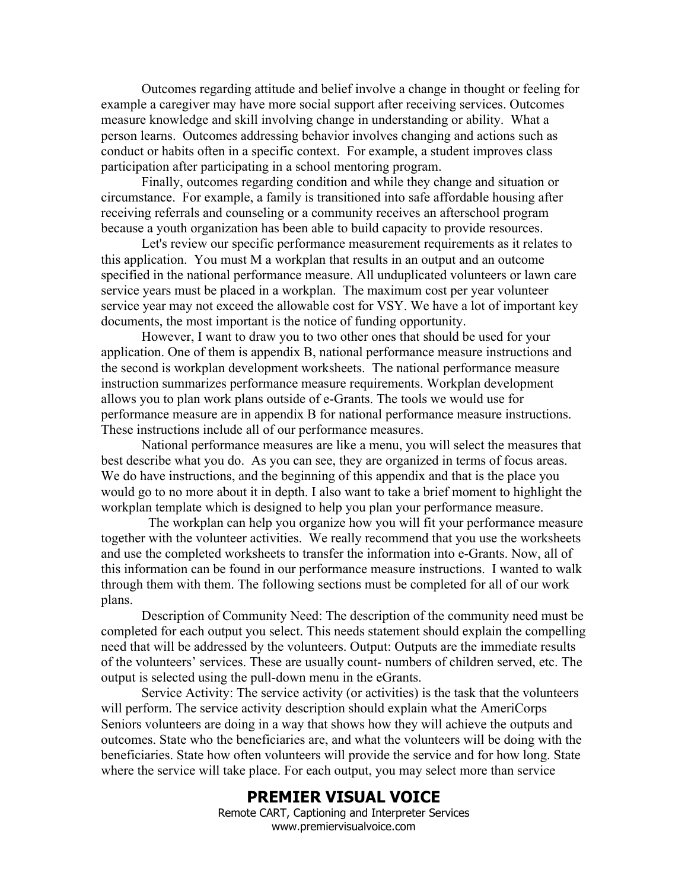Outcomes regarding attitude and belief involve a change in thought or feeling for example a caregiver may have more social support after receiving services. Outcomes measure knowledge and skill involving change in understanding or ability. What a person learns. Outcomes addressing behavior involves changing and actions such as conduct or habits often in a specific context. For example, a student improves class participation after participating in a school mentoring program.

Finally, outcomes regarding condition and while they change and situation or circumstance. For example, a family is transitioned into safe affordable housing after receiving referrals and counseling or a community receives an afterschool program because a youth organization has been able to build capacity to provide resources.

Let's review our specific performance measurement requirements as it relates to this application. You must M a workplan that results in an output and an outcome specified in the national performance measure. All unduplicated volunteers or lawn care service years must be placed in a workplan. The maximum cost per year volunteer service year may not exceed the allowable cost for VSY. We have a lot of important key documents, the most important is the notice of funding opportunity.

However, I want to draw you to two other ones that should be used for your application. One of them is appendix B, national performance measure instructions and the second is workplan development worksheets. The national performance measure instruction summarizes performance measure requirements. Workplan development allows you to plan work plans outside of e-Grants. The tools we would use for performance measure are in appendix B for national performance measure instructions. These instructions include all of our performance measures.

National performance measures are like a menu, you will select the measures that best describe what you do. As you can see, they are organized in terms of focus areas. We do have instructions, and the beginning of this appendix and that is the place you would go to no more about it in depth. I also want to take a brief moment to highlight the workplan template which is designed to help you plan your performance measure.

 The workplan can help you organize how you will fit your performance measure together with the volunteer activities. We really recommend that you use the worksheets and use the completed worksheets to transfer the information into e-Grants. Now, all of this information can be found in our performance measure instructions. I wanted to walk through them with them. The following sections must be completed for all of our work plans.

Description of Community Need: The description of the community need must be completed for each output you select. This needs statement should explain the compelling need that will be addressed by the volunteers. Output: Outputs are the immediate results of the volunteers' services. These are usually count- numbers of children served, etc. The output is selected using the pull-down menu in the eGrants.

Service Activity: The service activity (or activities) is the task that the volunteers will perform. The service activity description should explain what the AmeriCorps Seniors volunteers are doing in a way that shows how they will achieve the outputs and outcomes. State who the beneficiaries are, and what the volunteers will be doing with the beneficiaries. State how often volunteers will provide the service and for how long. State where the service will take place. For each output, you may select more than service

### **PREMIER VISUAL VOICE**

Remote CART, Captioning and Interpreter Services www.premiervisualvoice.com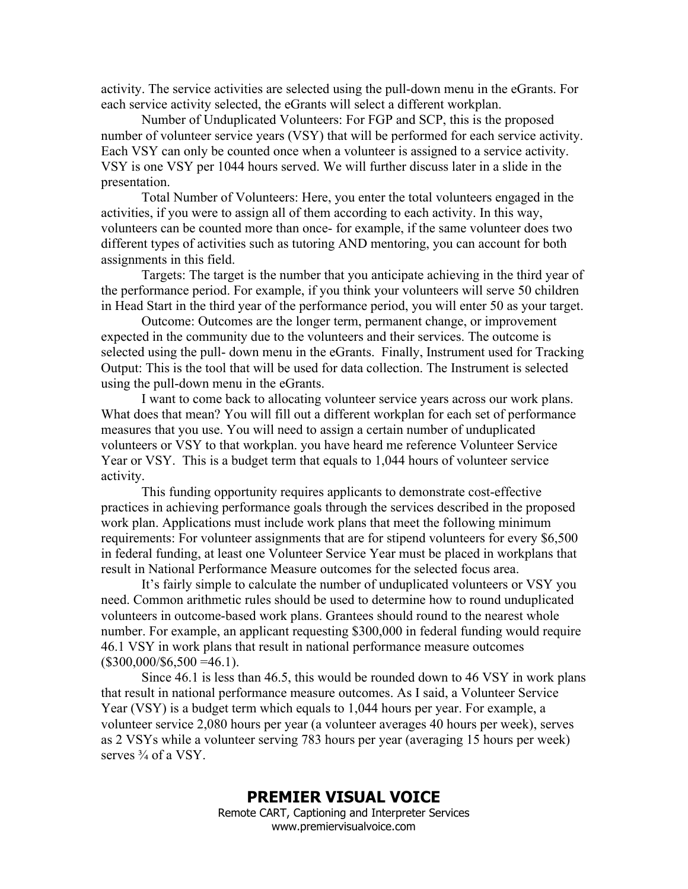activity. The service activities are selected using the pull-down menu in the eGrants. For each service activity selected, the eGrants will select a different workplan.

Number of Unduplicated Volunteers: For FGP and SCP, this is the proposed number of volunteer service years (VSY) that will be performed for each service activity. Each VSY can only be counted once when a volunteer is assigned to a service activity. VSY is one VSY per 1044 hours served. We will further discuss later in a slide in the presentation.

Total Number of Volunteers: Here, you enter the total volunteers engaged in the activities, if you were to assign all of them according to each activity. In this way, volunteers can be counted more than once- for example, if the same volunteer does two different types of activities such as tutoring AND mentoring, you can account for both assignments in this field.

Targets: The target is the number that you anticipate achieving in the third year of the performance period. For example, if you think your volunteers will serve 50 children in Head Start in the third year of the performance period, you will enter 50 as your target.

Outcome: Outcomes are the longer term, permanent change, or improvement expected in the community due to the volunteers and their services. The outcome is selected using the pull- down menu in the eGrants. Finally, Instrument used for Tracking Output: This is the tool that will be used for data collection. The Instrument is selected using the pull-down menu in the eGrants.

I want to come back to allocating volunteer service years across our work plans. What does that mean? You will fill out a different workplan for each set of performance measures that you use. You will need to assign a certain number of unduplicated volunteers or VSY to that workplan. you have heard me reference Volunteer Service Year or VSY. This is a budget term that equals to 1,044 hours of volunteer service activity.

This funding opportunity requires applicants to demonstrate cost-effective practices in achieving performance goals through the services described in the proposed work plan. Applications must include work plans that meet the following minimum requirements: For volunteer assignments that are for stipend volunteers for every \$6,500 in federal funding, at least one Volunteer Service Year must be placed in workplans that result in National Performance Measure outcomes for the selected focus area.

It's fairly simple to calculate the number of unduplicated volunteers or VSY you need. Common arithmetic rules should be used to determine how to round unduplicated volunteers in outcome-based work plans. Grantees should round to the nearest whole number. For example, an applicant requesting \$300,000 in federal funding would require 46.1 VSY in work plans that result in national performance measure outcomes  $($300,000/\$6,500 = 46.1).$ 

Since 46.1 is less than 46.5, this would be rounded down to 46 VSY in work plans that result in national performance measure outcomes. As I said, a Volunteer Service Year (VSY) is a budget term which equals to 1,044 hours per year. For example, a volunteer service 2,080 hours per year (a volunteer averages 40 hours per week), serves as 2 VSYs while a volunteer serving 783 hours per year (averaging 15 hours per week) serves  $\frac{3}{4}$  of a VSY.

#### **PREMIER VISUAL VOICE** Remote CART, Captioning and Interpreter Services www.premiervisualvoice.com